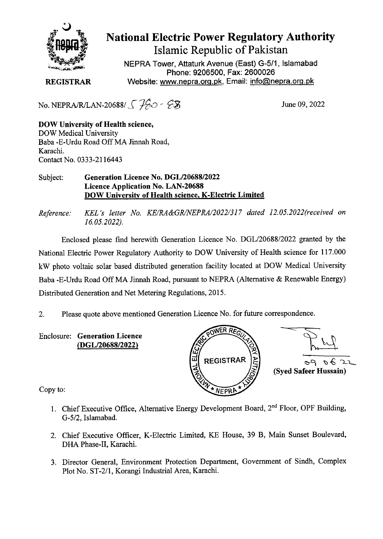

## **National Electric Power Regulatory Authority Islamic Republic of Pakistan**

NEPRA Tower, Attaturk Avenue (East) G-511, Islamabad Phone: 9206500, Fax: 2600026 **REGISTRAR** Website: www.nepra.org.pk, Email: info@nepra.org.pk

No. NEPRA/R/LAN-20688/ $\sqrt{760}$  -  $28$ 

June 09, 2022

**DOW University of Health science,**  DOW Medical University Baba -E-Urdu Road *Off* MA Jinnah Road, Karachi. Contact No. 0333-2116443

## Subject: **Generation Licence No.** *DGL/2068812022*  **Licence Application No. LAN-20688 DOW University of Health science, K-Electric Limited**

*Reference: KEL 's letter No. KE/RA&GR/NEPRA/2022/317 dated 12.05.2022(received on 16.05.2022).* 

Enclosed please find herewith Generation Licence No. DGL/20688/2022 granted by the National Electric Power Regulatory Authority to DOW University of Health science for 117.000 kW photo voltaic solar based distributed generation facility located at DOW Medical University Baba -E-Urdu Road Off MA Jinnah Road, pursuant to NEPRA (Alternative & Renewable Energy) Distributed Generation and Net Metering Regulations, 2015.

2. Please quote above mentioned Generation Licence No. for future correspondence.

**Enclosure: Generation Licence**  *(DGL12068812022)* 



Copy to:

- 1. Chief Executive Office, Alternative Energy Development Board, 2<sup>nd</sup> Floor, OPF Building, G-5/2, Islamabad.
- 2. Chief Executive Officer, K-Electric Limited, KE House, 39 B, Main Sunset Boulevard, DHA Phase-II, Karachi.
- 3. Director General, Environment Protection Department, Government of Sindh, Complex Plot No. ST-2/1, Korangi Industrial Area, Karachi.